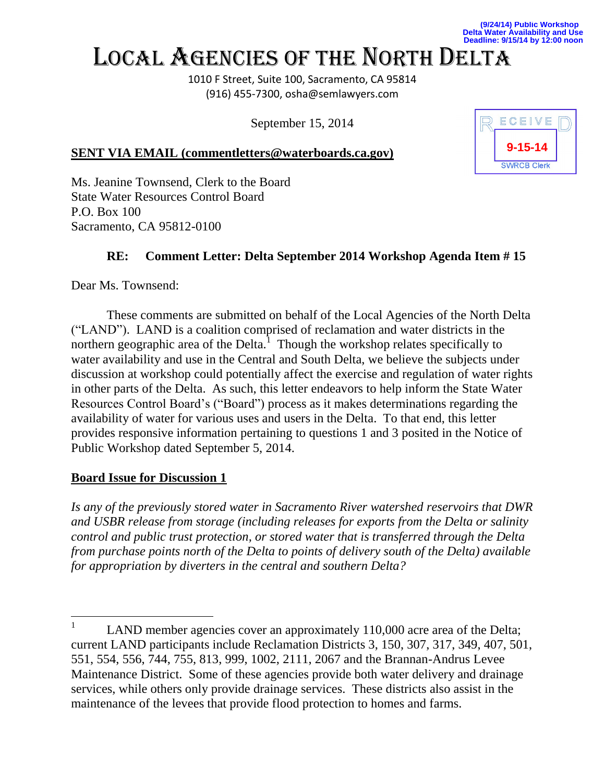**(9/24/14) Public Workshop Delta Water Availability and Use Deadline: 9/15/14 by 12:00 noon**

# LOCAL AGENCIES OF THE NORTH DELTA

1010 F Street, Suite 100, Sacramento, CA 95814 (916) 455-7300, osha@semlawyers.com

September 15, 2014

### **SENT VIA EMAIL (commentletters@waterboards.ca.gov)**



Ms. Jeanine Townsend, Clerk to the Board State Water Resources Control Board P.O. Box 100 Sacramento, CA 95812-0100

## **RE: Comment Letter: Delta September 2014 Workshop Agenda Item # 15**

Dear Ms. Townsend:

These comments are submitted on behalf of the Local Agencies of the North Delta ("LAND"). LAND is a coalition comprised of reclamation and water districts in the northern geographic area of the Delta.<sup>1</sup> Though the workshop relates specifically to water availability and use in the Central and South Delta, we believe the subjects under discussion at workshop could potentially affect the exercise and regulation of water rights in other parts of the Delta. As such, this letter endeavors to help inform the State Water Resources Control Board's ("Board") process as it makes determinations regarding the availability of water for various uses and users in the Delta. To that end, this letter provides responsive information pertaining to questions 1 and 3 posited in the Notice of Public Workshop dated September 5, 2014.

### **Board Issue for Discussion 1**

*Is any of the previously stored water in Sacramento River watershed reservoirs that DWR and USBR release from storage (including releases for exports from the Delta or salinity control and public trust protection, or stored water that is transferred through the Delta from purchase points north of the Delta to points of delivery south of the Delta) available for appropriation by diverters in the central and southern Delta?*

 1 LAND member agencies cover an approximately 110,000 acre area of the Delta; current LAND participants include Reclamation Districts 3, 150, 307, 317, 349, 407, 501, 551, 554, 556, 744, 755, 813, 999, 1002, 2111, 2067 and the Brannan-Andrus Levee Maintenance District. Some of these agencies provide both water delivery and drainage services, while others only provide drainage services. These districts also assist in the maintenance of the levees that provide flood protection to homes and farms.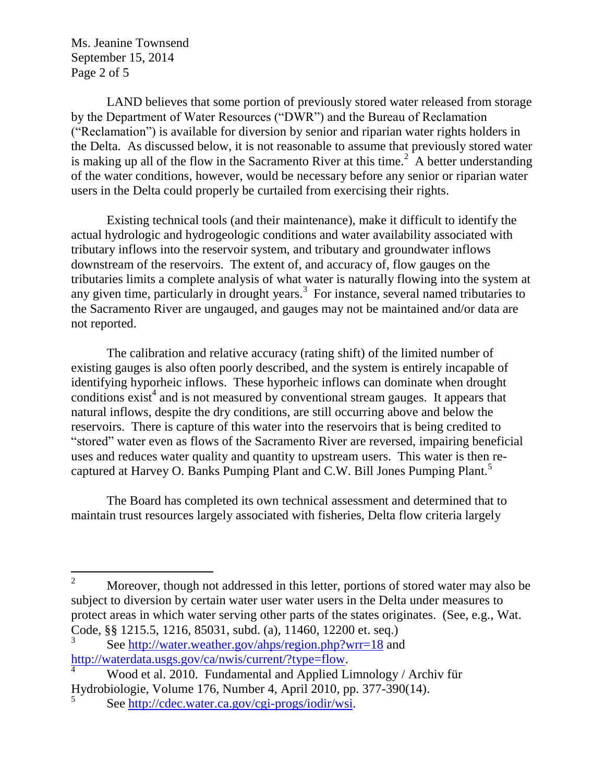Ms. Jeanine Townsend September 15, 2014 Page 2 of 5

LAND believes that some portion of previously stored water released from storage by the Department of Water Resources ("DWR") and the Bureau of Reclamation ("Reclamation") is available for diversion by senior and riparian water rights holders in the Delta. As discussed below, it is not reasonable to assume that previously stored water is making up all of the flow in the Sacramento River at this time.<sup>2</sup> A better understanding of the water conditions, however, would be necessary before any senior or riparian water users in the Delta could properly be curtailed from exercising their rights.

Existing technical tools (and their maintenance), make it difficult to identify the actual hydrologic and hydrogeologic conditions and water availability associated with tributary inflows into the reservoir system, and tributary and groundwater inflows downstream of the reservoirs. The extent of, and accuracy of, flow gauges on the tributaries limits a complete analysis of what water is naturally flowing into the system at any given time, particularly in drought years. $3$  For instance, several named tributaries to the Sacramento River are ungauged, and gauges may not be maintained and/or data are not reported.

The calibration and relative accuracy (rating shift) of the limited number of existing gauges is also often poorly described, and the system is entirely incapable of identifying hyporheic inflows. These hyporheic inflows can dominate when drought conditions  $exist<sup>4</sup>$  and is not measured by conventional stream gauges. It appears that natural inflows, despite the dry conditions, are still occurring above and below the reservoirs. There is capture of this water into the reservoirs that is being credited to "stored" water even as flows of the Sacramento River are reversed, impairing beneficial uses and reduces water quality and quantity to upstream users. This water is then recaptured at Harvey O. Banks Pumping Plant and C.W. Bill Jones Pumping Plant.<sup>5</sup>

The Board has completed its own technical assessment and determined that to maintain trust resources largely associated with fisheries, Delta flow criteria largely

 $\overline{2}$ Moreover, though not addressed in this letter, portions of stored water may also be subject to diversion by certain water user water users in the Delta under measures to protect areas in which water serving other parts of the states originates. (See, e.g., Wat. Code, §§ 1215.5, 1216, 85031, subd. (a), 11460, 12200 et. seq.)

<sup>3</sup> See<http://water.weather.gov/ahps/region.php?wrr=18> and [http://waterdata.usgs.gov/ca/nwis/current/?type=flow.](http://waterdata.usgs.gov/ca/nwis/current/?type=flow)

<sup>4</sup> Wood et al. 2010. Fundamental and Applied Limnology / Archiv für Hydrobiologie, Volume 176, Number 4, April 2010, pp. 377-390(14).

<sup>5</sup> See [http://cdec.water.ca.gov/cgi-progs/iodir/wsi.](http://cdec.water.ca.gov/cgi-progs/iodir/wsi)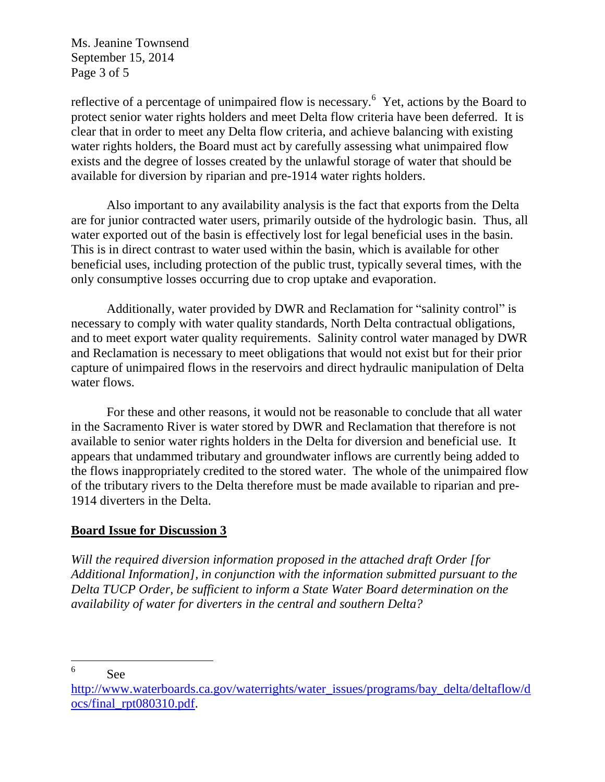Ms. Jeanine Townsend September 15, 2014 Page 3 of 5

reflective of a percentage of unimpaired flow is necessary.<sup>6</sup> Yet, actions by the Board to protect senior water rights holders and meet Delta flow criteria have been deferred. It is clear that in order to meet any Delta flow criteria, and achieve balancing with existing water rights holders, the Board must act by carefully assessing what unimpaired flow exists and the degree of losses created by the unlawful storage of water that should be available for diversion by riparian and pre-1914 water rights holders.

Also important to any availability analysis is the fact that exports from the Delta are for junior contracted water users, primarily outside of the hydrologic basin. Thus, all water exported out of the basin is effectively lost for legal beneficial uses in the basin. This is in direct contrast to water used within the basin, which is available for other beneficial uses, including protection of the public trust, typically several times, with the only consumptive losses occurring due to crop uptake and evaporation.

Additionally, water provided by DWR and Reclamation for "salinity control" is necessary to comply with water quality standards, North Delta contractual obligations, and to meet export water quality requirements. Salinity control water managed by DWR and Reclamation is necessary to meet obligations that would not exist but for their prior capture of unimpaired flows in the reservoirs and direct hydraulic manipulation of Delta water flows.

For these and other reasons, it would not be reasonable to conclude that all water in the Sacramento River is water stored by DWR and Reclamation that therefore is not available to senior water rights holders in the Delta for diversion and beneficial use. It appears that undammed tributary and groundwater inflows are currently being added to the flows inappropriately credited to the stored water. The whole of the unimpaired flow of the tributary rivers to the Delta therefore must be made available to riparian and pre-1914 diverters in the Delta.

### **Board Issue for Discussion 3**

*Will the required diversion information proposed in the attached draft Order [for Additional Information], in conjunction with the information submitted pursuant to the Delta TUCP Order, be sufficient to inform a State Water Board determination on the availability of water for diverters in the central and southern Delta?*

<sup>6</sup> See

[http://www.waterboards.ca.gov/waterrights/water\\_issues/programs/bay\\_delta/deltaflow/d](http://www.waterboards.ca.gov/waterrights/water_issues/programs/bay_delta/deltaflow/docs/final_rpt080310.pdf) [ocs/final\\_rpt080310.pdf.](http://www.waterboards.ca.gov/waterrights/water_issues/programs/bay_delta/deltaflow/docs/final_rpt080310.pdf)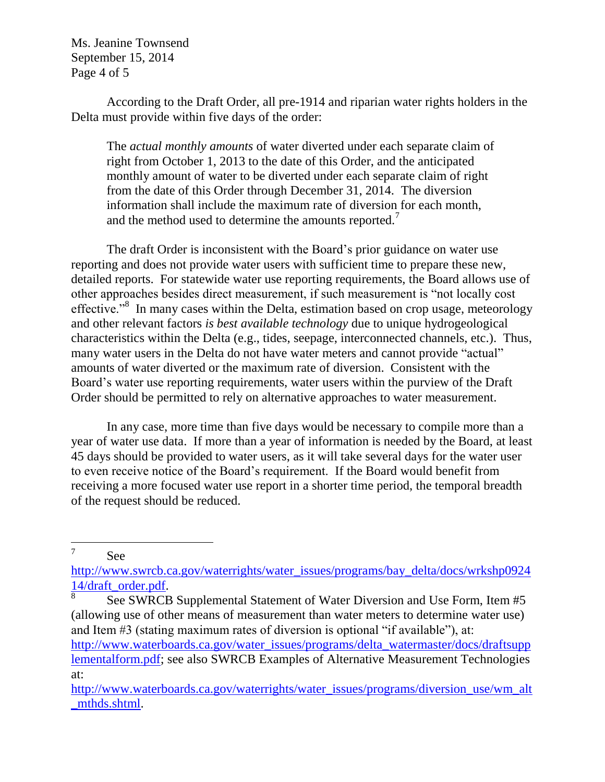Ms. Jeanine Townsend September 15, 2014 Page 4 of 5

According to the Draft Order, all pre-1914 and riparian water rights holders in the Delta must provide within five days of the order:

The *actual monthly amounts* of water diverted under each separate claim of right from October 1, 2013 to the date of this Order, and the anticipated monthly amount of water to be diverted under each separate claim of right from the date of this Order through December 31, 2014. The diversion information shall include the maximum rate of diversion for each month, and the method used to determine the amounts reported.<sup>7</sup>

The draft Order is inconsistent with the Board's prior guidance on water use reporting and does not provide water users with sufficient time to prepare these new, detailed reports. For statewide water use reporting requirements, the Board allows use of other approaches besides direct measurement, if such measurement is "not locally cost effective."<sup>8</sup> In many cases within the Delta, estimation based on crop usage, meteorology and other relevant factors *is best available technology* due to unique hydrogeological characteristics within the Delta (e.g., tides, seepage, interconnected channels, etc.). Thus, many water users in the Delta do not have water meters and cannot provide "actual" amounts of water diverted or the maximum rate of diversion. Consistent with the Board's water use reporting requirements, water users within the purview of the Draft Order should be permitted to rely on alternative approaches to water measurement.

In any case, more time than five days would be necessary to compile more than a year of water use data. If more than a year of information is needed by the Board, at least 45 days should be provided to water users, as it will take several days for the water user to even receive notice of the Board's requirement. If the Board would benefit from receiving a more focused water use report in a shorter time period, the temporal breadth of the request should be reduced.

7 See

 $\overline{a}$ 

[http://www.swrcb.ca.gov/waterrights/water\\_issues/programs/bay\\_delta/docs/wrkshp0924](http://www.swrcb.ca.gov/waterrights/water_issues/programs/bay_delta/docs/wrkshp092414/draft_order.pdf) [14/draft\\_order.pdf.](http://www.swrcb.ca.gov/waterrights/water_issues/programs/bay_delta/docs/wrkshp092414/draft_order.pdf)

8 See SWRCB Supplemental Statement of Water Diversion and Use Form, Item #5 (allowing use of other means of measurement than water meters to determine water use) and Item #3 (stating maximum rates of diversion is optional "if available"), at: [http://www.waterboards.ca.gov/water\\_issues/programs/delta\\_watermaster/docs/draftsupp](http://www.waterboards.ca.gov/water_issues/programs/delta_watermaster/docs/draftsupplementalform.pdf) [lementalform.pdf;](http://www.waterboards.ca.gov/water_issues/programs/delta_watermaster/docs/draftsupplementalform.pdf) see also SWRCB Examples of Alternative Measurement Technologies at:

[http://www.waterboards.ca.gov/waterrights/water\\_issues/programs/diversion\\_use/wm\\_alt](http://www.waterboards.ca.gov/waterrights/water_issues/programs/diversion_use/wm_alt_mthds.shtml) [\\_mthds.shtml.](http://www.waterboards.ca.gov/waterrights/water_issues/programs/diversion_use/wm_alt_mthds.shtml)